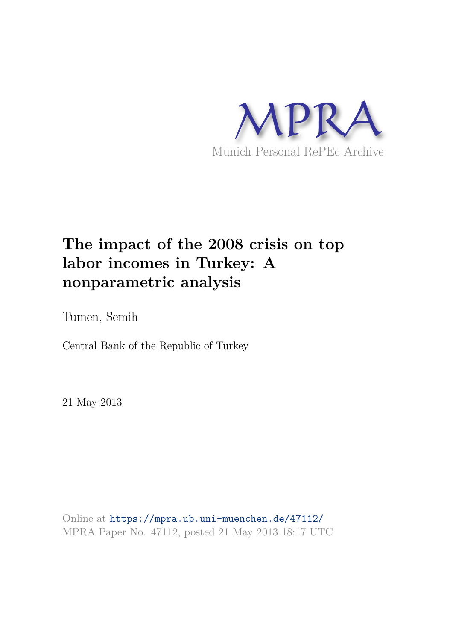

## **The impact of the 2008 crisis on top labor incomes in Turkey: A nonparametric analysis**

Tumen, Semih

Central Bank of the Republic of Turkey

21 May 2013

Online at https://mpra.ub.uni-muenchen.de/47112/ MPRA Paper No. 47112, posted 21 May 2013 18:17 UTC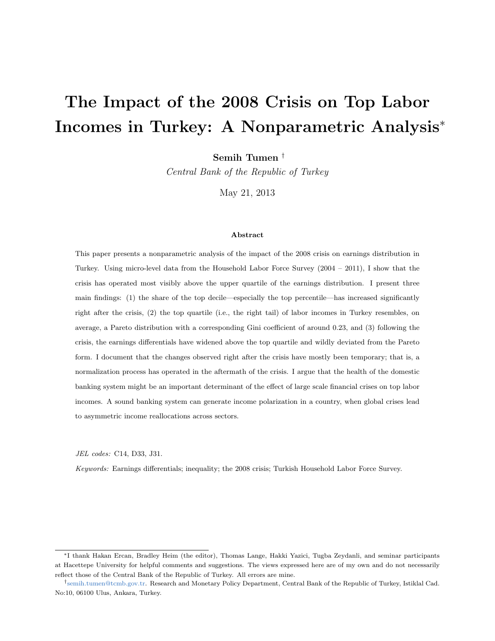# The Impact of the 2008 Crisis on Top Labor Incomes in Turkey: A Nonparametric Analysis<sup>∗</sup>

Semih Tumen †

*Central Bank of the Republic of Turkey*

May 21, 2013

#### Abstract

This paper presents a nonparametric analysis of the impact of the 2008 crisis on earnings distribution in Turkey. Using micro-level data from the Household Labor Force Survey (2004 – 2011), I show that the crisis has operated most visibly above the upper quartile of the earnings distribution. I present three main findings: (1) the share of the top decile—especially the top percentile—has increased significantly right after the crisis, (2) the top quartile (i.e., the right tail) of labor incomes in Turkey resembles, on average, a Pareto distribution with a corresponding Gini coefficient of around 0.23, and (3) following the crisis, the earnings differentials have widened above the top quartile and wildly deviated from the Pareto form. I document that the changes observed right after the crisis have mostly been temporary; that is, a normalization process has operated in the aftermath of the crisis. I argue that the health of the domestic banking system might be an important determinant of the effect of large scale financial crises on top labor incomes. A sound banking system can generate income polarization in a country, when global crises lead to asymmetric income reallocations across sectors.

JEL codes: C14, D33, J31.

Keywords: Earnings differentials; inequality; the 2008 crisis; Turkish Household Labor Force Survey.

<sup>∗</sup>I thank Hakan Ercan, Bradley Heim (the editor), Thomas Lange, Hakki Yazici, Tugba Zeydanli, and seminar participants at Hacettepe University for helpful comments and suggestions. The views expressed here are of my own and do not necessarily reflect those of the Central Bank of the Republic of Turkey. All errors are mine.

<sup>†</sup> semih.tumen@tcmb.gov.tr. Research and Monetary Policy Department, Central Bank of the Republic of Turkey, Istiklal Cad. No:10, 06100 Ulus, Ankara, Turkey.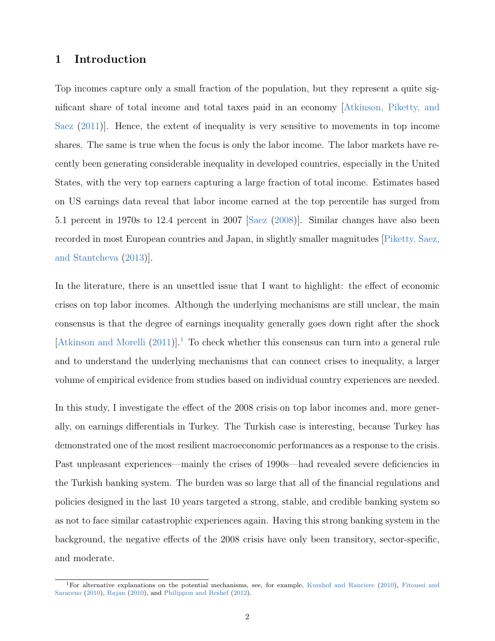### 1 Introduction

Top incomes capture only a small fraction of the population, but they represent a quite significant share of total income and total taxes paid in an economy [Atkinson, Piketty, and Saez (2011)]. Hence, the extent of inequality is very sensitive to movements in top income shares. The same is true when the focus is only the labor income. The labor markets have recently been generating considerable inequality in developed countries, especially in the United States, with the very top earners capturing a large fraction of total income. Estimates based on US earnings data reveal that labor income earned at the top percentile has surged from 5.1 percent in 1970s to 12.4 percent in 2007 [Saez (2008)]. Similar changes have also been recorded in most European countries and Japan, in slightly smaller magnitudes [Piketty, Saez, and Stantcheva (2013)].

In the literature, there is an unsettled issue that I want to highlight: the effect of economic crises on top labor incomes. Although the underlying mechanisms are still unclear, the main consensus is that the degree of earnings inequality generally goes down right after the shock  $[Atkinson and Morelli (2011)]<sup>1</sup>$  To check whether this consensus can turn into a general rule and to understand the underlying mechanisms that can connect crises to inequality, a larger volume of empirical evidence from studies based on individual country experiences are needed.

In this study, I investigate the effect of the 2008 crisis on top labor incomes and, more generally, on earnings differentials in Turkey. The Turkish case is interesting, because Turkey has demonstrated one of the most resilient macroeconomic performances as a response to the crisis. Past unpleasant experiences—mainly the crises of 1990s—had revealed severe deficiencies in the Turkish banking system. The burden was so large that all of the financial regulations and policies designed in the last 10 years targeted a strong, stable, and credible banking system so as not to face similar catastrophic experiences again. Having this strong banking system in the background, the negative effects of the 2008 crisis have only been transitory, sector-specific, and moderate.

<sup>1</sup>For alternative explanations on the potential mechanisms, see, for example, Kumhof and Ranciere (2010), Fitoussi and Saraceno (2010), Rajan (2010), and Philippon and Reshef (2012).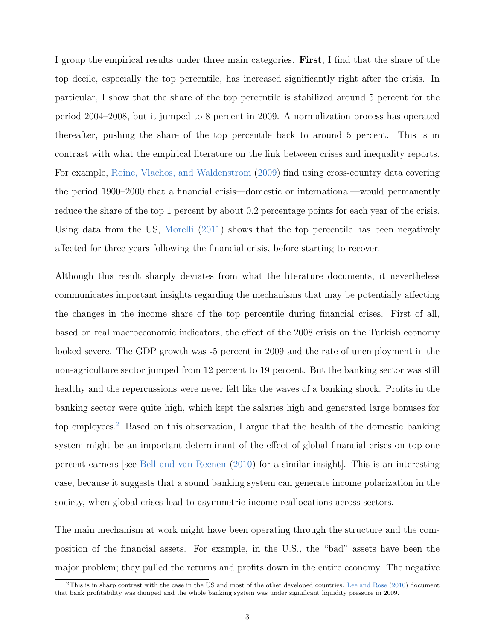I group the empirical results under three main categories. First, I find that the share of the top decile, especially the top percentile, has increased significantly right after the crisis. In particular, I show that the share of the top percentile is stabilized around 5 percent for the period 2004–2008, but it jumped to 8 percent in 2009. A normalization process has operated thereafter, pushing the share of the top percentile back to around 5 percent. This is in contrast with what the empirical literature on the link between crises and inequality reports. For example, Roine, Vlachos, and Waldenstrom (2009) find using cross-country data covering the period 1900–2000 that a financial crisis—domestic or international—would permanently reduce the share of the top 1 percent by about 0.2 percentage points for each year of the crisis. Using data from the US, Morelli (2011) shows that the top percentile has been negatively affected for three years following the financial crisis, before starting to recover.

Although this result sharply deviates from what the literature documents, it nevertheless communicates important insights regarding the mechanisms that may be potentially affecting the changes in the income share of the top percentile during financial crises. First of all, based on real macroeconomic indicators, the effect of the 2008 crisis on the Turkish economy looked severe. The GDP growth was -5 percent in 2009 and the rate of unemployment in the non-agriculture sector jumped from 12 percent to 19 percent. But the banking sector was still healthy and the repercussions were never felt like the waves of a banking shock. Profits in the banking sector were quite high, which kept the salaries high and generated large bonuses for top employees.<sup>2</sup> Based on this observation, I argue that the health of the domestic banking system might be an important determinant of the effect of global financial crises on top one percent earners [see Bell and van Reenen (2010) for a similar insight]. This is an interesting case, because it suggests that a sound banking system can generate income polarization in the society, when global crises lead to asymmetric income reallocations across sectors.

The main mechanism at work might have been operating through the structure and the composition of the financial assets. For example, in the U.S., the "bad" assets have been the major problem; they pulled the returns and profits down in the entire economy. The negative

 $2$ This is in sharp contrast with the case in the US and most of the other developed countries. Lee and Rose (2010) document that bank profitability was damped and the whole banking system was under significant liquidity pressure in 2009.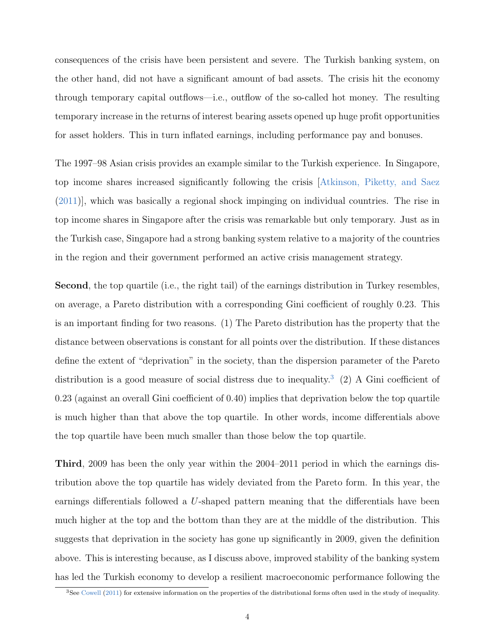consequences of the crisis have been persistent and severe. The Turkish banking system, on the other hand, did not have a significant amount of bad assets. The crisis hit the economy through temporary capital outflows—i.e., outflow of the so-called hot money. The resulting temporary increase in the returns of interest bearing assets opened up huge profit opportunities for asset holders. This in turn inflated earnings, including performance pay and bonuses.

The 1997–98 Asian crisis provides an example similar to the Turkish experience. In Singapore, top income shares increased significantly following the crisis [Atkinson, Piketty, and Saez (2011)], which was basically a regional shock impinging on individual countries. The rise in top income shares in Singapore after the crisis was remarkable but only temporary. Just as in the Turkish case, Singapore had a strong banking system relative to a majority of the countries in the region and their government performed an active crisis management strategy.

Second, the top quartile (i.e., the right tail) of the earnings distribution in Turkey resembles, on average, a Pareto distribution with a corresponding Gini coefficient of roughly 0.23. This is an important finding for two reasons. (1) The Pareto distribution has the property that the distance between observations is constant for all points over the distribution. If these distances define the extent of "deprivation" in the society, than the dispersion parameter of the Pareto distribution is a good measure of social distress due to inequality.<sup>3</sup> (2) A Gini coefficient of 0.23 (against an overall Gini coefficient of 0.40) implies that deprivation below the top quartile is much higher than that above the top quartile. In other words, income differentials above the top quartile have been much smaller than those below the top quartile.

Third, 2009 has been the only year within the 2004–2011 period in which the earnings distribution above the top quartile has widely deviated from the Pareto form. In this year, the earnings differentials followed a U-shaped pattern meaning that the differentials have been much higher at the top and the bottom than they are at the middle of the distribution. This suggests that deprivation in the society has gone up significantly in 2009, given the definition above. This is interesting because, as I discuss above, improved stability of the banking system has led the Turkish economy to develop a resilient macroeconomic performance following the

<sup>3</sup>See Cowell (2011) for extensive information on the properties of the distributional forms often used in the study of inequality.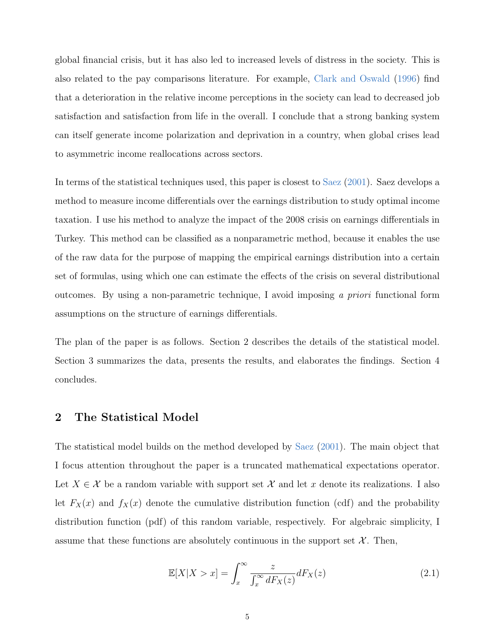global financial crisis, but it has also led to increased levels of distress in the society. This is also related to the pay comparisons literature. For example, Clark and Oswald (1996) find that a deterioration in the relative income perceptions in the society can lead to decreased job satisfaction and satisfaction from life in the overall. I conclude that a strong banking system can itself generate income polarization and deprivation in a country, when global crises lead to asymmetric income reallocations across sectors.

In terms of the statistical techniques used, this paper is closest to Saez (2001). Saez develops a method to measure income differentials over the earnings distribution to study optimal income taxation. I use his method to analyze the impact of the 2008 crisis on earnings differentials in Turkey. This method can be classified as a nonparametric method, because it enables the use of the raw data for the purpose of mapping the empirical earnings distribution into a certain set of formulas, using which one can estimate the effects of the crisis on several distributional outcomes. By using a non-parametric technique, I avoid imposing *a priori* functional form assumptions on the structure of earnings differentials.

The plan of the paper is as follows. Section 2 describes the details of the statistical model. Section 3 summarizes the data, presents the results, and elaborates the findings. Section 4 concludes.

#### 2 The Statistical Model

The statistical model builds on the method developed by Saez (2001). The main object that I focus attention throughout the paper is a truncated mathematical expectations operator. Let  $X \in \mathcal{X}$  be a random variable with support set  $\mathcal{X}$  and let x denote its realizations. I also let  $F_X(x)$  and  $f_X(x)$  denote the cumulative distribution function (cdf) and the probability distribution function (pdf) of this random variable, respectively. For algebraic simplicity, I assume that these functions are absolutely continuous in the support set  $\mathcal{X}$ . Then,

$$
\mathbb{E}[X|X>x] = \int_x^\infty \frac{z}{\int_x^\infty dF_X(z)} dF_X(z) \tag{2.1}
$$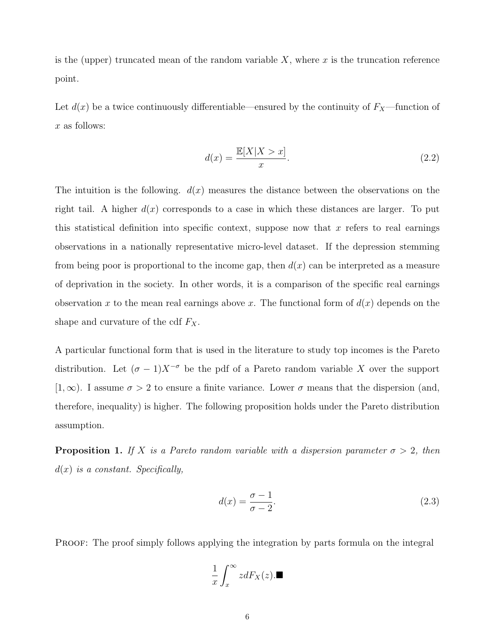is the (upper) truncated mean of the random variable  $X$ , where  $x$  is the truncation reference point.

Let  $d(x)$  be a twice continuously differentiable—ensured by the continuity of  $F_X$ —function of x as follows:

$$
d(x) = \frac{\mathbb{E}[X|X > x]}{x}.
$$
\n(2.2)

The intuition is the following.  $d(x)$  measures the distance between the observations on the right tail. A higher  $d(x)$  corresponds to a case in which these distances are larger. To put this statistical definition into specific context, suppose now that  $x$  refers to real earnings observations in a nationally representative micro-level dataset. If the depression stemming from being poor is proportional to the income gap, then  $d(x)$  can be interpreted as a measure of deprivation in the society. In other words, it is a comparison of the specific real earnings observation x to the mean real earnings above x. The functional form of  $d(x)$  depends on the shape and curvature of the cdf  $F_X$ .

A particular functional form that is used in the literature to study top incomes is the Pareto distribution. Let  $(\sigma - 1)X^{-\sigma}$  be the pdf of a Pareto random variable X over the support [1,  $\infty$ ). I assume  $\sigma > 2$  to ensure a finite variance. Lower  $\sigma$  means that the dispersion (and, therefore, inequality) is higher. The following proposition holds under the Pareto distribution assumption.

**Proposition 1.** If X is a Pareto random variable with a dispersion parameter  $\sigma > 2$ , then d(x) *is a constant. Specifically,*

$$
d(x) = \frac{\sigma - 1}{\sigma - 2}.\tag{2.3}
$$

PROOF: The proof simply follows applying the integration by parts formula on the integral

$$
\frac{1}{x}\int_x^\infty z dF_X(z). \blacksquare
$$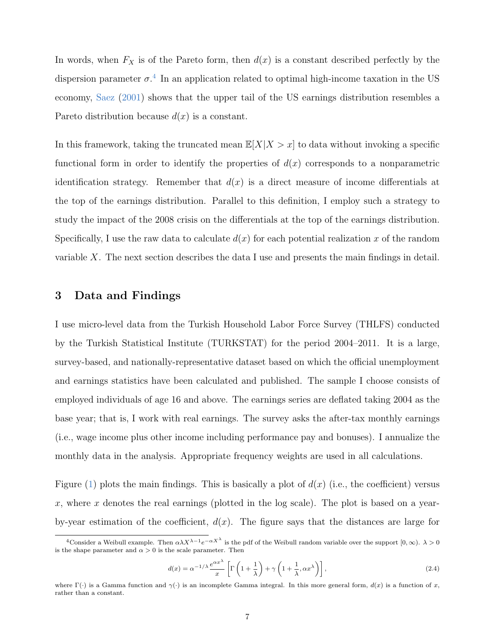In words, when  $F_X$  is of the Pareto form, then  $d(x)$  is a constant described perfectly by the dispersion parameter  $\sigma^4$ . In an application related to optimal high-income taxation in the US economy, Saez (2001) shows that the upper tail of the US earnings distribution resembles a Pareto distribution because  $d(x)$  is a constant.

In this framework, taking the truncated mean  $\mathbb{E}[X|X > x]$  to data without invoking a specific functional form in order to identify the properties of  $d(x)$  corresponds to a nonparametric identification strategy. Remember that  $d(x)$  is a direct measure of income differentials at the top of the earnings distribution. Parallel to this definition, I employ such a strategy to study the impact of the 2008 crisis on the differentials at the top of the earnings distribution. Specifically, I use the raw data to calculate  $d(x)$  for each potential realization x of the random variable X. The next section describes the data I use and presents the main findings in detail.

#### 3 Data and Findings

I use micro-level data from the Turkish Household Labor Force Survey (THLFS) conducted by the Turkish Statistical Institute (TURKSTAT) for the period 2004–2011. It is a large, survey-based, and nationally-representative dataset based on which the official unemployment and earnings statistics have been calculated and published. The sample I choose consists of employed individuals of age 16 and above. The earnings series are deflated taking 2004 as the base year; that is, I work with real earnings. The survey asks the after-tax monthly earnings (i.e., wage income plus other income including performance pay and bonuses). I annualize the monthly data in the analysis. Appropriate frequency weights are used in all calculations.

Figure (1) plots the main findings. This is basically a plot of  $d(x)$  (i.e., the coefficient) versus x, where x denotes the real earnings (plotted in the log scale). The plot is based on a yearby-year estimation of the coefficient,  $d(x)$ . The figure says that the distances are large for

$$
d(x) = \alpha^{-1/\lambda} \frac{e^{\alpha x^{\lambda}}}{x} \left[ \Gamma\left(1 + \frac{1}{\lambda}\right) + \gamma\left(1 + \frac{1}{\lambda}, \alpha x^{\lambda}\right) \right],
$$
\n(2.4)

<sup>&</sup>lt;sup>4</sup>Consider a Weibull example. Then  $\alpha\lambda X^{\lambda-1}e^{-\alpha X^{\lambda}}$  is the pdf of the Weibull random variable over the support  $[0,\infty)$ .  $\lambda>0$ is the shape parameter and  $\alpha > 0$  is the scale parameter. Then

where  $\Gamma(\cdot)$  is a Gamma function and  $\gamma(\cdot)$  is an incomplete Gamma integral. In this more general form,  $d(x)$  is a function of x, rather than a constant.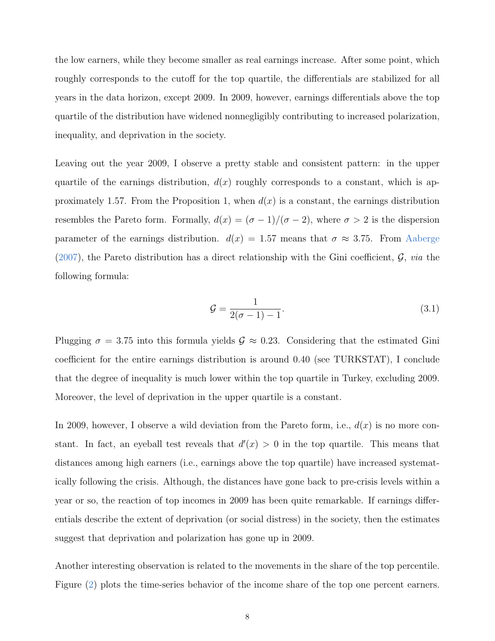the low earners, while they become smaller as real earnings increase. After some point, which roughly corresponds to the cutoff for the top quartile, the differentials are stabilized for all years in the data horizon, except 2009. In 2009, however, earnings differentials above the top quartile of the distribution have widened nonnegligibly contributing to increased polarization, inequality, and deprivation in the society.

Leaving out the year 2009, I observe a pretty stable and consistent pattern: in the upper quartile of the earnings distribution,  $d(x)$  roughly corresponds to a constant, which is approximately 1.57. From the Proposition 1, when  $d(x)$  is a constant, the earnings distribution resembles the Pareto form. Formally,  $d(x) = (\sigma - 1)/(\sigma - 2)$ , where  $\sigma > 2$  is the dispersion parameter of the earnings distribution.  $d(x) = 1.57$  means that  $\sigma \approx 3.75$ . From Aaberge  $(2007)$ , the Pareto distribution has a direct relationship with the Gini coefficient,  $\mathcal{G}$ , *via* the following formula:

$$
\mathcal{G} = \frac{1}{2(\sigma - 1) - 1}.\tag{3.1}
$$

Plugging  $\sigma = 3.75$  into this formula yields  $\mathcal{G} \approx 0.23$ . Considering that the estimated Gini coefficient for the entire earnings distribution is around 0.40 (see TURKSTAT), I conclude that the degree of inequality is much lower within the top quartile in Turkey, excluding 2009. Moreover, the level of deprivation in the upper quartile is a constant.

In 2009, however, I observe a wild deviation from the Pareto form, i.e.,  $d(x)$  is no more constant. In fact, an eyeball test reveals that  $d'(x) > 0$  in the top quartile. This means that distances among high earners (i.e., earnings above the top quartile) have increased systematically following the crisis. Although, the distances have gone back to pre-crisis levels within a year or so, the reaction of top incomes in 2009 has been quite remarkable. If earnings differentials describe the extent of deprivation (or social distress) in the society, then the estimates suggest that deprivation and polarization has gone up in 2009.

Another interesting observation is related to the movements in the share of the top percentile. Figure (2) plots the time-series behavior of the income share of the top one percent earners.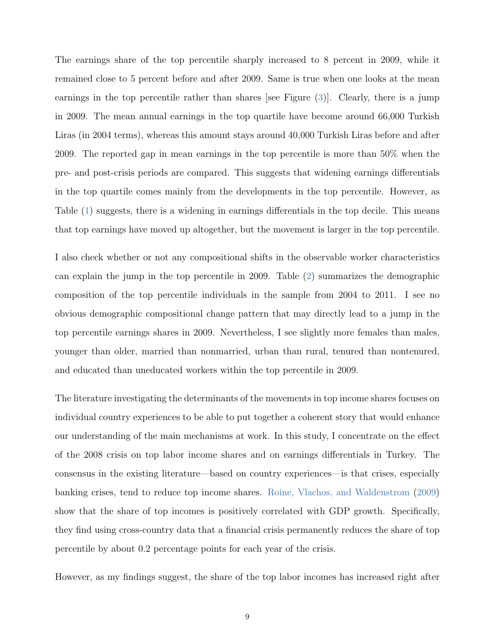The earnings share of the top percentile sharply increased to 8 percent in 2009, while it remained close to 5 percent before and after 2009. Same is true when one looks at the mean earnings in the top percentile rather than shares [see Figure (3)]. Clearly, there is a jump in 2009. The mean annual earnings in the top quartile have become around 66,000 Turkish Liras (in 2004 terms), whereas this amount stays around 40,000 Turkish Liras before and after 2009. The reported gap in mean earnings in the top percentile is more than 50% when the pre- and post-crisis periods are compared. This suggests that widening earnings differentials in the top quartile comes mainly from the developments in the top percentile. However, as Table (1) suggests, there is a widening in earnings differentials in the top decile. This means that top earnings have moved up altogether, but the movement is larger in the top percentile.

I also check whether or not any compositional shifts in the observable worker characteristics can explain the jump in the top percentile in 2009. Table (2) summarizes the demographic composition of the top percentile individuals in the sample from 2004 to 2011. I see no obvious demographic compositional change pattern that may directly lead to a jump in the top percentile earnings shares in 2009. Nevertheless, I see slightly more females than males, younger than older, married than nonmarried, urban than rural, tenured than nontenured, and educated than uneducated workers within the top percentile in 2009.

The literature investigating the determinants of the movements in top income shares focuses on individual country experiences to be able to put together a coherent story that would enhance our understanding of the main mechanisms at work. In this study, I concentrate on the effect of the 2008 crisis on top labor income shares and on earnings differentials in Turkey. The consensus in the existing literature—based on country experiences—is that crises, especially banking crises, tend to reduce top income shares. Roine, Vlachos, and Waldenstrom (2009) show that the share of top incomes is positively correlated with GDP growth. Specifically, they find using cross-country data that a financial crisis permanently reduces the share of top percentile by about 0.2 percentage points for each year of the crisis.

However, as my findings suggest, the share of the top labor incomes has increased right after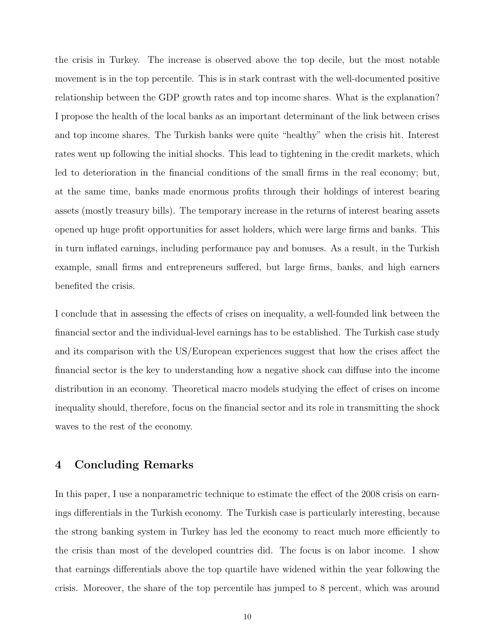the crisis in Turkey. The increase is observed above the top decile, but the most notable movement is in the top percentile. This is in stark contrast with the well-documented positive relationship between the GDP growth rates and top income shares. What is the explanation? I propose the health of the local banks as an important determinant of the link between crises and top income shares. The Turkish banks were quite "healthy" when the crisis hit. Interest rates went up following the initial shocks. This lead to tightening in the credit markets, which led to deterioration in the financial conditions of the small firms in the real economy; but, at the same time, banks made enormous profits through their holdings of interest bearing assets (mostly treasury bills). The temporary increase in the returns of interest bearing assets opened up huge profit opportunities for asset holders, which were large firms and banks. This in turn inflated earnings, including performance pay and bonuses. As a result, in the Turkish example, small firms and entrepreneurs suffered, but large firms, banks, and high earners benefited the crisis.

I conclude that in assessing the effects of crises on inequality, a well-founded link between the financial sector and the individual-level earnings has to be established. The Turkish case study and its comparison with the US/European experiences suggest that how the crises affect the financial sector is the key to understanding how a negative shock can diffuse into the income distribution in an economy. Theoretical macro models studying the effect of crises on income inequality should, therefore, focus on the financial sector and its role in transmitting the shock waves to the rest of the economy.

#### 4 Concluding Remarks

In this paper, I use a nonparametric technique to estimate the effect of the 2008 crisis on earnings differentials in the Turkish economy. The Turkish case is particularly interesting, because the strong banking system in Turkey has led the economy to react much more efficiently to the crisis than most of the developed countries did. The focus is on labor income. I show that earnings differentials above the top quartile have widened within the year following the crisis. Moreover, the share of the top percentile has jumped to 8 percent, which was around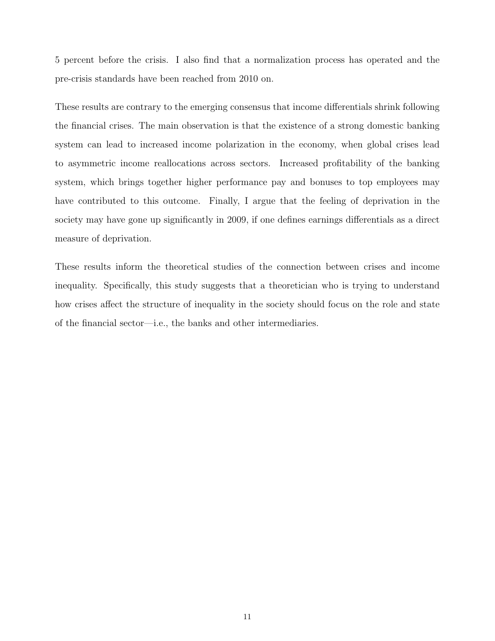5 percent before the crisis. I also find that a normalization process has operated and the pre-crisis standards have been reached from 2010 on.

These results are contrary to the emerging consensus that income differentials shrink following the financial crises. The main observation is that the existence of a strong domestic banking system can lead to increased income polarization in the economy, when global crises lead to asymmetric income reallocations across sectors. Increased profitability of the banking system, which brings together higher performance pay and bonuses to top employees may have contributed to this outcome. Finally, I argue that the feeling of deprivation in the society may have gone up significantly in 2009, if one defines earnings differentials as a direct measure of deprivation.

These results inform the theoretical studies of the connection between crises and income inequality. Specifically, this study suggests that a theoretician who is trying to understand how crises affect the structure of inequality in the society should focus on the role and state of the financial sector—i.e., the banks and other intermediaries.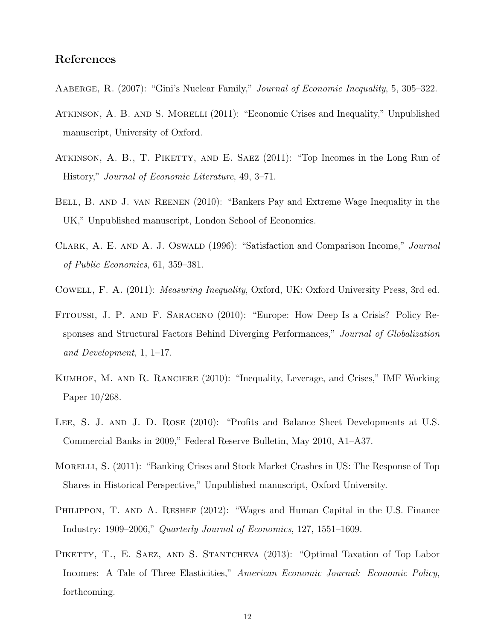### References

- Aaberge, R. (2007): "Gini's Nuclear Family," *Journal of Economic Inequality*, 5, 305–322.
- Atkinson, A. B. and S. Morelli (2011): "Economic Crises and Inequality," Unpublished manuscript, University of Oxford.
- Atkinson, A. B., T. Piketty, and E. Saez (2011): "Top Incomes in the Long Run of History," *Journal of Economic Literature*, 49, 3–71.
- Bell, B. and J. van Reenen (2010): "Bankers Pay and Extreme Wage Inequality in the UK," Unpublished manuscript, London School of Economics.
- Clark, A. E. and A. J. Oswald (1996): "Satisfaction and Comparison Income," *Journal of Public Economics*, 61, 359–381.
- Cowell, F. A. (2011): *Measuring Inequality*, Oxford, UK: Oxford University Press, 3rd ed.
- Fitoussi, J. P. and F. Saraceno (2010): "Europe: How Deep Is a Crisis? Policy Responses and Structural Factors Behind Diverging Performances," *Journal of Globalization and Development*, 1, 1–17.
- Kumhof, M. and R. Ranciere (2010): "Inequality, Leverage, and Crises," IMF Working Paper 10/268.
- LEE, S. J. AND J. D. ROSE (2010): "Profits and Balance Sheet Developments at U.S. Commercial Banks in 2009," Federal Reserve Bulletin, May 2010, A1–A37.
- MORELLI, S. (2011): "Banking Crises and Stock Market Crashes in US: The Response of Top Shares in Historical Perspective," Unpublished manuscript, Oxford University.
- PHILIPPON, T. AND A. RESHEF (2012): "Wages and Human Capital in the U.S. Finance Industry: 1909–2006," *Quarterly Journal of Economics*, 127, 1551–1609.
- PIKETTY, T., E. SAEZ, AND S. STANTCHEVA (2013): "Optimal Taxation of Top Labor Incomes: A Tale of Three Elasticities," *American Economic Journal: Economic Policy*, forthcoming.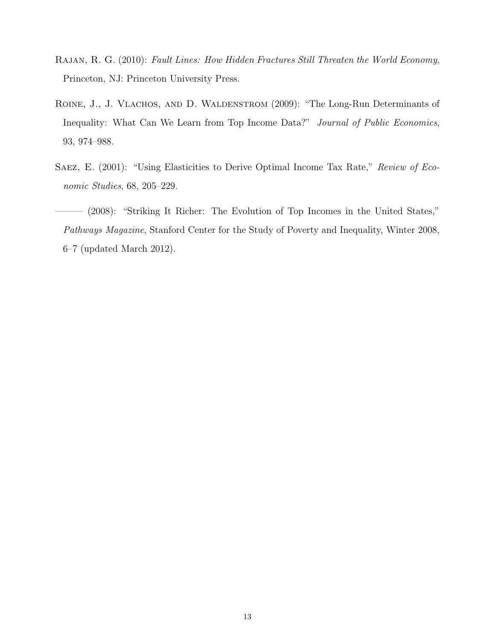- Rajan, R. G. (2010): *Fault Lines: How Hidden Fractures Still Threaten the World Economy*, Princeton, NJ: Princeton University Press.
- ROINE, J., J. VLACHOS, AND D. WALDENSTROM (2009): "The Long-Run Determinants of Inequality: What Can We Learn from Top Income Data?" *Journal of Public Economics*, 93, 974–988.
- Saez, E. (2001): "Using Elasticities to Derive Optimal Income Tax Rate," *Review of Economic Studies*, 68, 205–229.
- ——— (2008): "Striking It Richer: The Evolution of Top Incomes in the United States," *Pathways Magazine*, Stanford Center for the Study of Poverty and Inequality, Winter 2008, 6–7 (updated March 2012).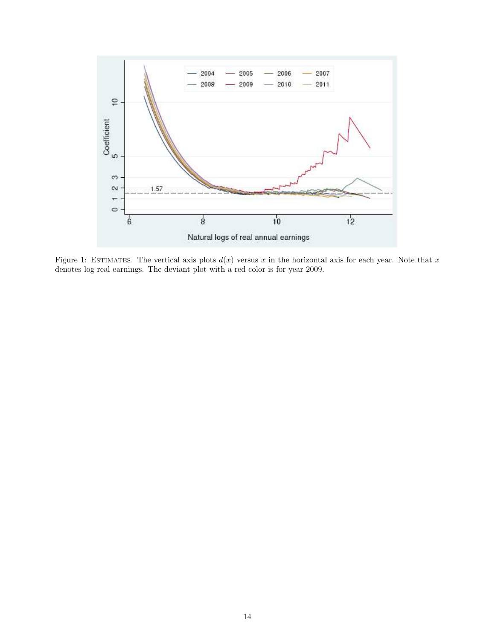

Figure 1: ESTIMATES. The vertical axis plots  $d(x)$  versus x in the horizontal axis for each year. Note that x denotes log real earnings. The deviant plot with a red color is for year 2009.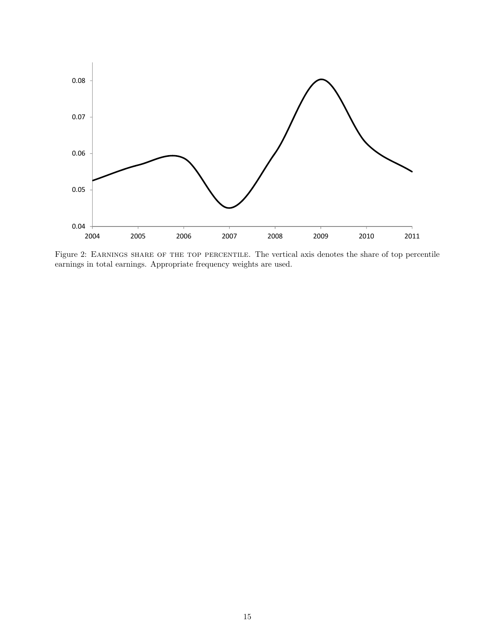

Figure 2: EARNINGS SHARE OF THE TOP PERCENTILE. The vertical axis denotes the share of top percentile earnings in total earnings. Appropriate frequency weights are used.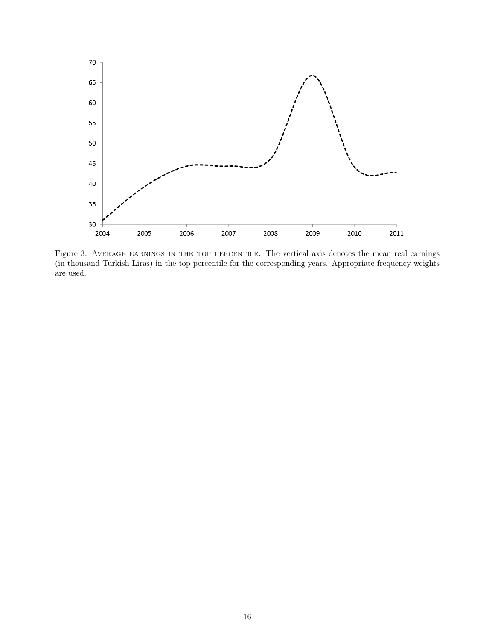

Figure 3: AVERAGE EARNINGS IN THE TOP PERCENTILE. The vertical axis denotes the mean real earnings (in thousand Turkish Liras) in the top percentile for the corresponding years. Appropriate frequency weights are used.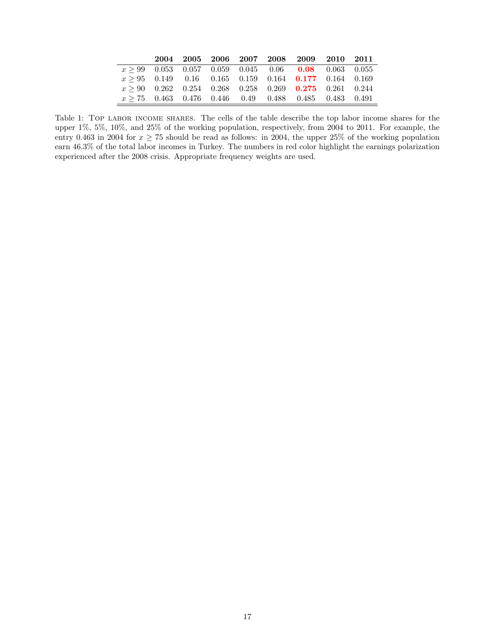|  |  |  | 2004 2005 2006 2007 2008 2009 2010 2011                       |  |
|--|--|--|---------------------------------------------------------------|--|
|  |  |  | $x > 99$ 0.053 0.057 0.059 0.045 0.06 <b>0.08</b> 0.063 0.055 |  |
|  |  |  | $x \ge 95$ 0.149 0.16 0.165 0.159 0.164 0.177 0.164 0.169     |  |
|  |  |  | $x \ge 90$ 0.262 0.254 0.268 0.258 0.269 0.275 0.261 0.244    |  |
|  |  |  | $x \ge 75$ 0.463 0.476 0.446 0.49 0.488 0.485 0.483 0.491     |  |

Table 1: Top labor income shares. The cells of the table describe the top labor income shares for the upper 1%, 5%, 10%, and 25% of the working population, respectively, from 2004 to 2011. For example, the entry 0.463 in 2004 for  $x \ge 75$  should be read as follows: in 2004, the upper 25% of the working population earn 46.3% of the total labor incomes in Turkey. The numbers in red color highlight the earnings polarization experienced after the 2008 crisis. Appropriate frequency weights are used.